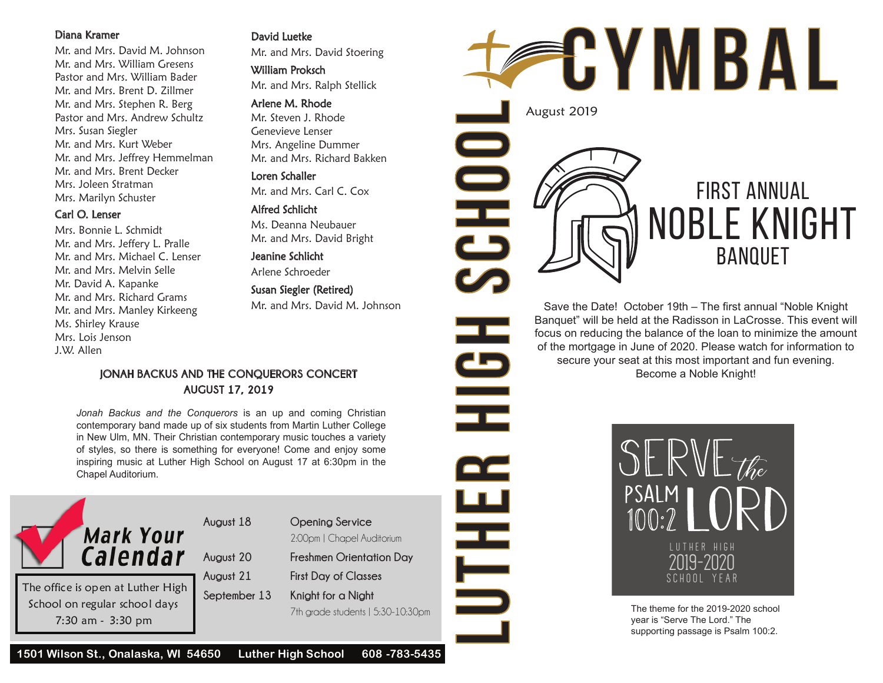#### Diana Kramer

Mr. and Mrs. David M. Johnson Mr. and Mrs. William Gresens Pastor and Mrs. William Bader Mr. and Mrs. Brent D. Zillmer Mr. and Mrs. Stephen R. Berg Pastor and Mrs. Andrew Schultz Mrs. Susan Siegler Mr. and Mrs. Kurt Weber Mr. and Mrs. Jeffrey Hemmelman Mr. and Mrs. Brent Decker Mrs. Joleen Stratman Mrs. Marilyn Schuster

#### Carl O. Lenser

Mrs. Bonnie L. Schmidt Mr. and Mrs. Jeffery L. Pralle Mr. and Mrs. Michael C. Lenser Mr. and Mrs. Melvin Selle Mr. David A. Kapanke Mr. and Mrs. Richard Grams Mr. and Mrs. Manley Kirkeeng Ms. Shirley Krause Mrs. Lois Jenson J.W. Allen

David Luetke

Mr. and Mrs. David Stoering

William Proksch

Mr. and Mrs. Ralph Stellick

#### Arlene M. Rhode

Mr. Steven J. Rhode Genevieve Lenser Mrs. Angeline Dummer Mr. and Mrs. Richard Bakken

#### Loren Schaller

Mr. and Mrs. Carl C. Cox

## Alfred Schlicht

Ms. Deanna Neubauer Mr. and Mrs. David Bright

Jeanine Schlicht Arlene Schroeder

Susan Siegler (Retired) Mr. and Mrs. David M. Johnson

## **JONAH BACKUS AND THE CONQUERORS CONCERT AUGUST 17, 2019**

*Jonah Backus and the Conquerors* is an up and coming Christian contemporary band made up of six students from Martin Luther College in New Ulm, MN. Their Christian contemporary music touches a variety of styles, so there is something for everyone! Come and enjoy some inspiring music at Luther High School on August 17 at 6:30pm in the Chapel Auditorium.



**August 18 Opening Service** 2:00pm | Chapel Auditorium

**August 20 Freshmen Orientation Day**

**August 21 First Day of Classes**

**September 13 Knight for a Night** 7th grade students | 5:30-10:30pm



Save the Date! October 19th – The first annual "Noble Knight Banquet" will be held at the Radisson in LaCrosse. This event will focus on reducing the balance of the loan to minimize the amount of the mortgage in June of 2020. Please watch for information to secure your seat at this most important and fun evening. Become a Noble Knight!

> SERVETTE LUTHER HIGH 2019-2020 school year

The theme for the 2019-2020 school year is "Serve The Lord." The supporting passage is Psalm 100:2.